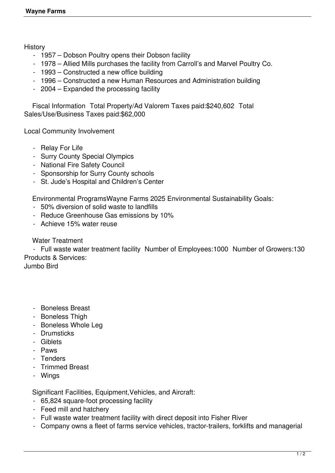**History** 

- 1957 Dobson Poultry opens their Dobson facility
- 1978 Allied Mills purchases the facility from Carroll's and Marvel Poultry Co.
- 1993 Constructed a new office building
- 1996 Constructed a new Human Resources and Administration building
- 2004 Expanded the processing facility

 Fiscal Information Total Property/Ad Valorem Taxes paid:\$240,602 Total Sales/Use/Business Taxes paid:\$62,000

Local Community Involvement

- Relay For Life
- Surry County Special Olympics
- National Fire Safety Council
- Sponsorship for Surry County schools
- St. Jude's Hospital and Children's Center

Environmental ProgramsWayne Farms 2025 Environmental Sustainability Goals:

- 50% diversion of solid waste to landfills
- Reduce Greenhouse Gas emissions by 10%
- Achieve 15% water reuse

## Water Treatment

 - Full waste water treatment facility Number of Employees:1000 Number of Growers:130 Products & Services:

Jumbo Bird

- Boneless Breast
- Boneless Thigh
- Boneless Whole Leg
- Drumsticks
- Giblets
- Paws
- Tenders
- Trimmed Breast
- Wings

Significant Facilities, Equipment,Vehicles, and Aircraft:

- 65,824 square-foot processing facility
- Feed mill and hatchery
- Full waste water treatment facility with direct deposit into Fisher River
- Company owns a fleet of farms service vehicles, tractor-trailers, forklifts and managerial